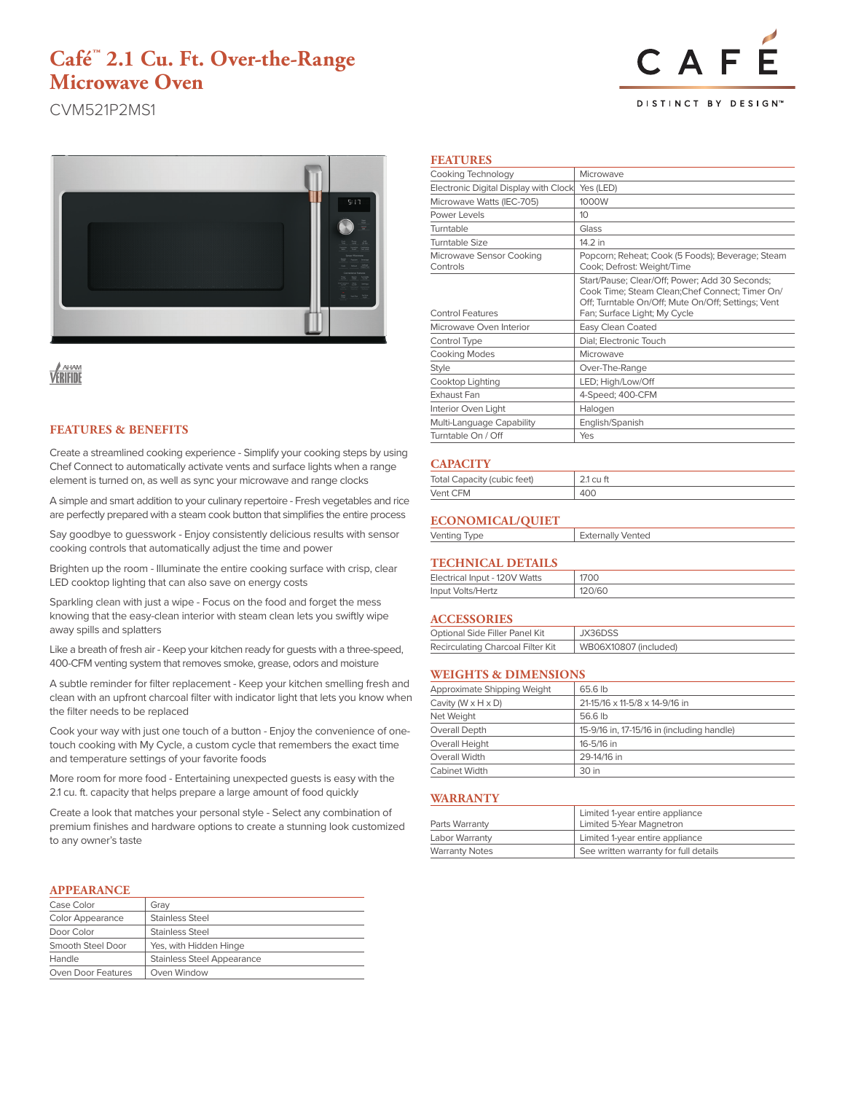# **Café™ 2.1 Cu. Ft. Over-the-Range Microwave Oven**



CVM521P2MS1



# **VERIFINE**

## **FEATURES & BENEFITS**

Create a streamlined cooking experience - Simplify your cooking steps by using Chef Connect to automatically activate vents and surface lights when a range element is turned on, as well as sync your microwave and range clocks

A simple and smart addition to your culinary repertoire - Fresh vegetables and rice are perfectly prepared with a steam cook button that simplifies the entire process

Say goodbye to guesswork - Enjoy consistently delicious results with sensor cooking controls that automatically adjust the time and power

Brighten up the room - Illuminate the entire cooking surface with crisp, clear LED cooktop lighting that can also save on energy costs

Sparkling clean with just a wipe - Focus on the food and forget the mess knowing that the easy-clean interior with steam clean lets you swiftly wipe away spills and splatters

Like a breath of fresh air - Keep your kitchen ready for guests with a three-speed, 400-CFM venting system that removes smoke, grease, odors and moisture

A subtle reminder for filter replacement - Keep your kitchen smelling fresh and clean with an upfront charcoal filter with indicator light that lets you know when the filter needs to be replaced

Cook your way with just one touch of a button - Enjoy the convenience of onetouch cooking with My Cycle, a custom cycle that remembers the exact time and temperature settings of your favorite foods

More room for more food - Entertaining unexpected guests is easy with the 2.1 cu. ft. capacity that helps prepare a large amount of food quickly

Create a look that matches your personal style - Select any combination of premium finishes and hardware options to create a stunning look customized to any owner's taste

## **APPEARANCE**

| Case Color              | Grav                              |  |
|-------------------------|-----------------------------------|--|
| <b>Color Appearance</b> | Stainless Steel                   |  |
| Door Color              | <b>Stainless Steel</b>            |  |
| Smooth Steel Door       | Yes, with Hidden Hinge            |  |
| Handle                  | <b>Stainless Steel Appearance</b> |  |
| Oven Door Features      | Oven Window                       |  |

## **FEATURES**

| Cooking Technology                    | Microwave                                                                                                                                                                               |  |
|---------------------------------------|-----------------------------------------------------------------------------------------------------------------------------------------------------------------------------------------|--|
| Electronic Digital Display with Clock | Yes (LED)                                                                                                                                                                               |  |
| Microwave Watts (IEC-705)             | 1000W                                                                                                                                                                                   |  |
| Power Levels                          | 10                                                                                                                                                                                      |  |
| Turntable                             | Glass                                                                                                                                                                                   |  |
| Turntable Size                        | 14.2 in                                                                                                                                                                                 |  |
| Microwave Sensor Cooking<br>Controls  | Popcorn; Reheat; Cook (5 Foods); Beverage; Steam<br>Cook; Defrost: Weight/Time                                                                                                          |  |
| <b>Control Features</b>               | Start/Pause: Clear/Off: Power: Add 30 Seconds:<br>Cook Time; Steam Clean; Chef Connect; Timer On/<br>Off; Turntable On/Off; Mute On/Off; Settings; Vent<br>Fan; Surface Light; My Cycle |  |
| Microwave Oven Interior               | Easy Clean Coated                                                                                                                                                                       |  |
| Control Type                          | Dial; Electronic Touch                                                                                                                                                                  |  |
| <b>Cooking Modes</b>                  | Microwave                                                                                                                                                                               |  |
| Style                                 | Over-The-Range                                                                                                                                                                          |  |
| Cooktop Lighting                      | LED; High/Low/Off                                                                                                                                                                       |  |
| Exhaust Fan                           | 4-Speed; 400-CFM                                                                                                                                                                        |  |
| Interior Oven Light                   | Halogen                                                                                                                                                                                 |  |
| Multi-Language Capability             | English/Spanish                                                                                                                                                                         |  |
| Turntable On / Off                    | Yes                                                                                                                                                                                     |  |

## **CAPACITY**

| <b>Total Capacity (cubic feet)</b> |  |
|------------------------------------|--|
| Vent CFM                           |  |

### **ECONOMICAL/QUIET**

| Venting Type | <b>Externally Vented</b> |
|--------------|--------------------------|
|              |                          |

## **TECHNICAL DETAILS**

| Electrical Input - 120V Watts | 1700   |
|-------------------------------|--------|
| Input Volts/Hertz             | 120/60 |

#### **ACCESSORIES**

| Optional Side Filler Panel Kit    | JX36DSS               |
|-----------------------------------|-----------------------|
| Recirculating Charcoal Filter Kit | WB06X10807 (included) |

## **WEIGHTS & DIMENSIONS**

| Approximate Shipping Weight      | 65.6 lb                                    |  |
|----------------------------------|--------------------------------------------|--|
| Cavity (W $\times$ H $\times$ D) | 21-15/16 x 11-5/8 x 14-9/16 in             |  |
| Net Weight                       | 56.6 lb                                    |  |
| Overall Depth                    | 15-9/16 in, 17-15/16 in (including handle) |  |
| Overall Height                   | 16-5/16 in                                 |  |
| Overall Width                    | 29-14/16 in                                |  |
| Cabinet Width                    | 30 in                                      |  |

### **WARRANTY**

| Parts Warranty        | Limited 1-year entire appliance<br>Limited 5-Year Magnetron |
|-----------------------|-------------------------------------------------------------|
| Labor Warranty        | Limited 1-year entire appliance                             |
| <b>Warranty Notes</b> | See written warranty for full details                       |
|                       |                                                             |